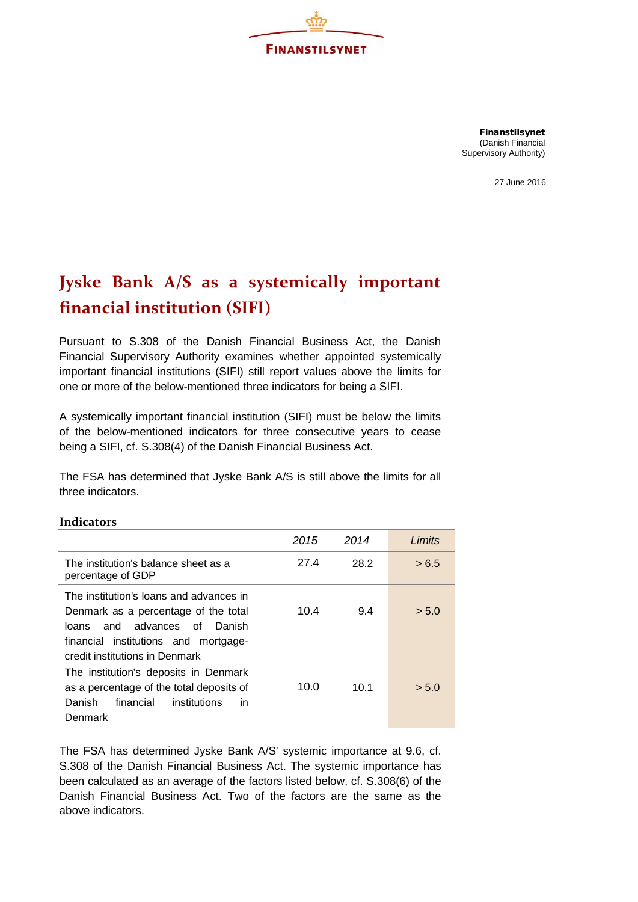

Finanstilsynet (Danish Financial Supervisory Authority)

27 June 2016

## **Jyske Bank A/S as a systemically important financial institution (SIFI)**

Pursuant to S.308 of the Danish Financial Business Act, the Danish Financial Supervisory Authority examines whether appointed systemically important financial institutions (SIFI) still report values above the limits for one or more of the below-mentioned three indicators for being a SIFI.

A systemically important financial institution (SIFI) must be below the limits of the below-mentioned indicators for three consecutive years to cease being a SIFI, cf. S.308(4) of the Danish Financial Business Act.

The FSA has determined that Jyske Bank A/S is still above the limits for all three indicators.

|                                                                                                                                                                                                 | 2015 | 2014 | Limits |
|-------------------------------------------------------------------------------------------------------------------------------------------------------------------------------------------------|------|------|--------|
| The institution's balance sheet as a<br>percentage of GDP                                                                                                                                       | 27.4 | 28.2 | > 6.5  |
| The institution's loans and advances in<br>Denmark as a percentage of the total<br>and advances of<br>Danish<br>loans<br>financial institutions and mortgage-<br>credit institutions in Denmark | 10.4 | 9.4  | > 5.0  |
| The institution's deposits in Denmark<br>as a percentage of the total deposits of<br>financial<br>Danish<br>institutions<br>in<br>Denmark                                                       | 10.0 | 10.1 | > 5.0  |

## **Indicators**

The FSA has determined Jyske Bank A/S' systemic importance at 9.6, cf. S.308 of the Danish Financial Business Act. The systemic importance has been calculated as an average of the factors listed below, cf. S.308(6) of the Danish Financial Business Act. Two of the factors are the same as the above indicators.